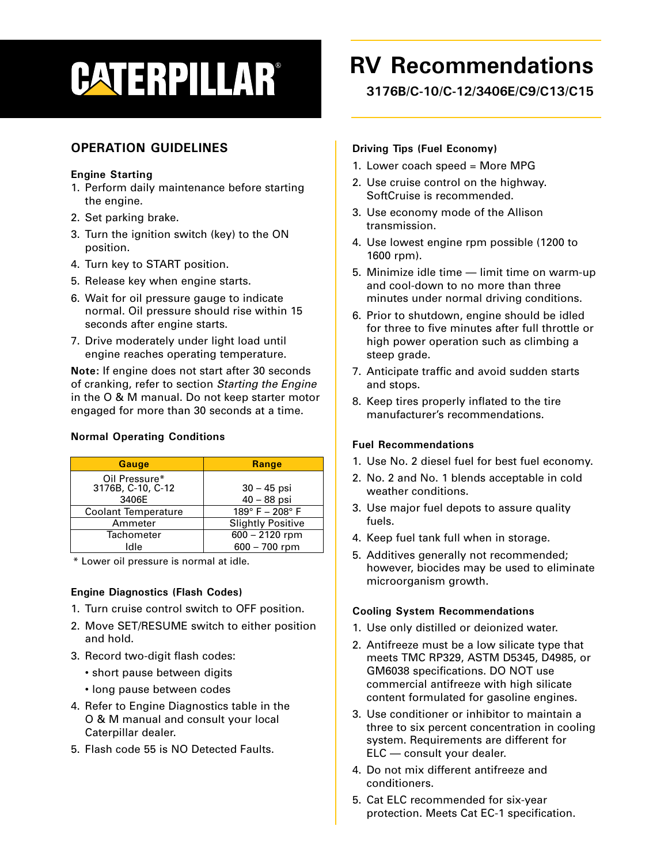# **CATERPILLAR®**

# **OPERATION GUIDELINES**

# **Engine Starting**

- 1. Perform daily maintenance before starting the engine.
- 2. Set parking brake.
- 3. Turn the ignition switch (key) to the ON position.
- 4. Turn key to START position.
- 5. Release key when engine starts.
- 6. Wait for oil pressure gauge to indicate normal. Oil pressure should rise within 15 seconds after engine starts.
- 7. Drive moderately under light load until engine reaches operating temperature.

**Note:** If engine does not start after 30 seconds of cranking, refer to section Starting the Engine in the O & M manual. Do not keep starter motor engaged for more than 30 seconds at a time.

| <b>Gauge</b>                                | <b>Range</b>                   |
|---------------------------------------------|--------------------------------|
| Oil Pressure*<br>3176B, C-10, C-12<br>3406E | $30 - 45$ psi<br>$40 - 88$ psi |
| <b>Coolant Temperature</b>                  | 189°F-208°F                    |
| Ammeter                                     | <b>Slightly Positive</b>       |
| <b>Tachometer</b>                           | $600 - 2120$ rpm               |
| Idle                                        | $600 - 700$ rpm                |

## **Normal Operating Conditions**

\* Lower oil pressure is normal at idle.

# **Engine Diagnostics (Flash Codes)**

- 1. Turn cruise control switch to OFF position.
- 2. Move SET/RESUME switch to either position and hold.
- 3. Record two-digit flash codes:
	- short pause between digits
	- long pause between codes
- 4. Refer to Engine Diagnostics table in the O & M manual and consult your local Caterpillar dealer.
- 5. Flash code 55 is NO Detected Faults.

# **RV Recommendations**

**3176B/C-10/C-12/3406E/C9/C13/C15**

# **Driving Tips (Fuel Economy)**

- 1. Lower coach speed = More MPG
- 2. Use cruise control on the highway. SoftCruise is recommended.
- 3. Use economy mode of the Allison transmission.
- 4. Use lowest engine rpm possible (1200 to 1600 rpm).
- 5. Minimize idle time limit time on warm-up and cool-down to no more than three minutes under normal driving conditions.
- 6. Prior to shutdown, engine should be idled for three to five minutes after full throttle or high power operation such as climbing a steep grade.
- 7. Anticipate traffic and avoid sudden starts and stops.
- 8. Keep tires properly inflated to the tire manufacturer's recommendations.

# **Fuel Recommendations**

- 1. Use No. 2 diesel fuel for best fuel economy.
- 2. No. 2 and No. 1 blends acceptable in cold weather conditions.
- 3. Use major fuel depots to assure quality fuels.
- 4. Keep fuel tank full when in storage.
- 5. Additives generally not recommended; however, biocides may be used to eliminate microorganism growth.

## **Cooling System Recommendations**

- 1. Use only distilled or deionized water.
- 2. Antifreeze must be a low silicate type that meets TMC RP329, ASTM D5345, D4985, or GM6038 specifications. DO NOT use commercial antifreeze with high silicate content formulated for gasoline engines.
- 3. Use conditioner or inhibitor to maintain a three to six percent concentration in cooling system. Requirements are different for ELC — consult your dealer.
- 4. Do not mix different antifreeze and conditioners.
- 5. Cat ELC recommended for six-year protection. Meets Cat EC-1 specification.